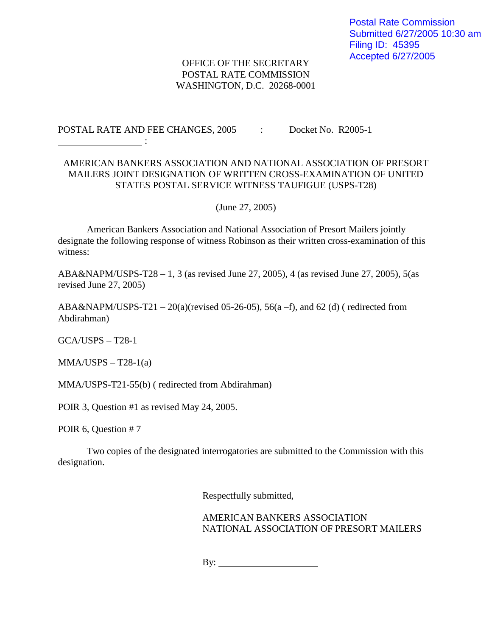## OFFICE OF THE SECRETARY POSTAL RATE COMMISSION WASHINGTON, D.C. 20268-0001

POSTAL RATE AND FEE CHANGES, 2005 : Docket No. R2005-1

## AMERICAN BANKERS ASSOCIATION AND NATIONAL ASSOCIATION OF PRESORT MAILERS JOINT DESIGNATION OF WRITTEN CROSS-EXAMINATION OF UNITED STATES POSTAL SERVICE WITNESS TAUFIGUE (USPS-T28)

(June 27, 2005)

American Bankers Association and National Association of Presort Mailers jointly designate the following response of witness Robinson as their written cross-examination of this witness:

ABA&NAPM/USPS-T28 – 1, 3 (as revised June 27, 2005), 4 (as revised June 27, 2005), 5(as revised June 27, 2005)

ABA&NAPM/USPS-T21 – 20(a)(revised 05-26-05), 56(a –f), and 62 (d) (redirected from Abdirahman)

GCA/USPS – T28-1

 $MMA/USPS - T28-1(a)$ 

**Service State State** 

MMA/USPS-T21-55(b) ( redirected from Abdirahman)

POIR 3, Question #1 as revised May 24, 2005.

POIR 6, Question # 7

Two copies of the designated interrogatories are submitted to the Commission with this designation.

Respectfully submitted,

AMERICAN BANKERS ASSOCIATION NATIONAL ASSOCIATION OF PRESORT MAILERS

By: